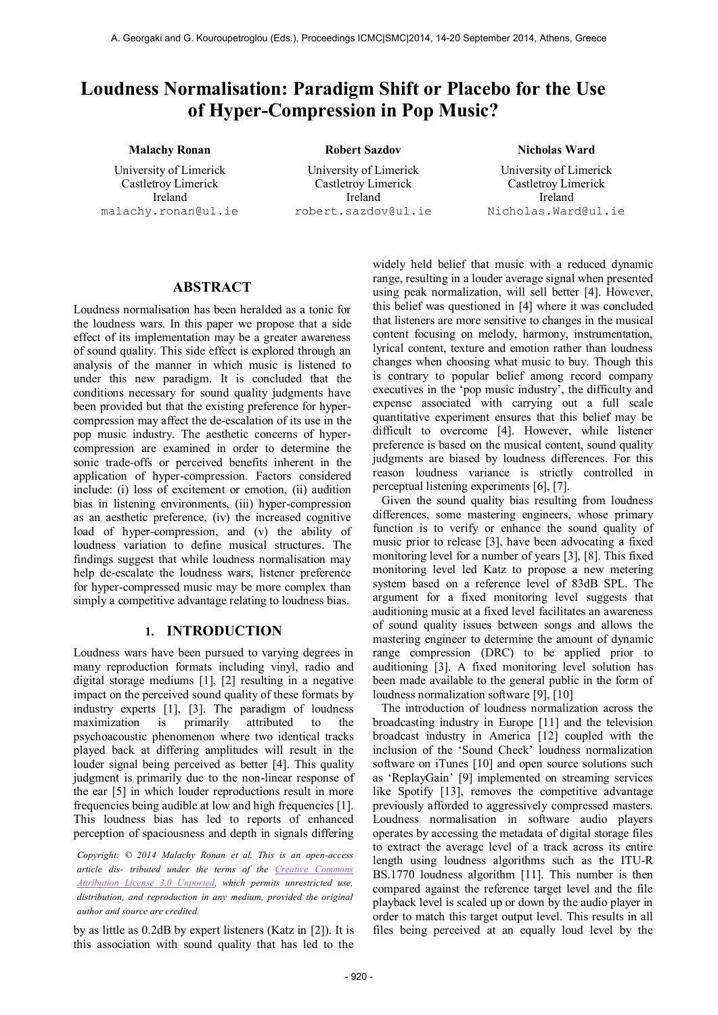# **Loudness Normalisation: Paradigm Shift or Placebo for the Use of Hyper-Compression in Pop Music?**

## **Malachy Ronan Robert Sazdov Nicholas Ward**

University of Limerick Castletroy Limerick Ireland malachy.ronan@ul.ie

University of Limerick Castletroy Limerick Ireland [robert.sazdov@ul.ie](mailto:robert.sazdov@ul.ie)

University of Limerick Castletroy Limerick Ireland [Nicholas.Ward@ul.ie](mailto:Nicholas.Ward@ul.ie)

### **ABSTRACT**

Loudness normalisation has been heralded as a tonic for the loudness wars. In this paper we propose that a side effect of its implementation may be a greater awareness of sound quality. This side effect is explored through an analysis of the manner in which music is listened to under this new paradigm. It is concluded that the conditions necessary for sound quality judgments have been provided but that the existing preference for hypercompression may affect the de-escalation of its use in the pop music industry. The aesthetic concerns of hypercompression are examined in order to determine the sonic trade-offs or perceived benefits inherent in the application of hyper-compression. Factors considered include: (i) loss of excitement or emotion, (ii) audition bias in listening environments, (iii) hyper-compression as an aesthetic preference, (iv) the increased cognitive load of hyper-compression, and (v) the ability of loudness variation to define musical structures. The findings suggest that while loudness normalisation may help de-escalate the loudness wars, listener preference for hyper-compressed music may be more complex than simply a competitive advantage relating to loudness bias.

#### **1. INTRODUCTION**

Loudness wars have been pursued to varying degrees in many reproduction formats including vinyl, radio and digital storage mediums [1], [2] resulting in a negative impact on the perceived sound quality of these formats by industry experts [1], [3]. The paradigm of loudness maximization is primarily attributed to the psychoacoustic phenomenon where two identical tracks played back at differing amplitudes will result in the louder signal being perceived as better [4]. This quality judgment is primarily due to the non-linear response of the ear [5] in which louder reproductions result in more frequencies being audible at low and high frequencies [1]. This loudness bias has led to reports of enhanced perception of spaciousness and depth in signals differing

*Copyright: © 2014 Malachy Ronan et al. This is an open-access article dis- tributed under the terms of the [Creative Commons](http://creativecommons.org/licenses/by/3.0/)  [Attribution License 3.0 Unported,](http://creativecommons.org/licenses/by/3.0/) which permits unrestricted use, distribution, and reproduction in any medium, provided the original author and source are credited.*

by as little as 0.2dB by expert listeners (Katz in [2]). It is this association with sound quality that has led to the

widely held belief that music with a reduced dynamic range, resulting in a louder average signal when presented using peak normalization, will sell better [4]. However, this belief was questioned in [4] where it was concluded that listeners are more sensitive to changes in the musical content focusing on melody, harmony, instrumentation, lyrical content, texture and emotion rather than loudness changes when choosing what music to buy. Though this is contrary to popular belief among record company executives in the 'pop music industry', the difficulty and expense associated with carrying out a full scale quantitative experiment ensures that this belief may be difficult to overcome [4]. However, while listener preference is based on the musical content, sound quality judgments are biased by loudness differences. For this reason loudness variance is strictly controlled in perceptual listening experiments [6], [7].

Given the sound quality bias resulting from loudness differences, some mastering engineers, whose primary function is to verify or enhance the sound quality of music prior to release [3], have been advocating a fixed monitoring level for a number of years [3], [8]. This fixed monitoring level led Katz to propose a new metering system based on a reference level of 83dB SPL. The argument for a fixed monitoring level suggests that auditioning music at a fixed level facilitates an awareness of sound quality issues between songs and allows the mastering engineer to determine the amount of dynamic range compression (DRC) to be applied prior to auditioning [3]. A fixed monitoring level solution has been made available to the general public in the form of loudness normalization software [9], [10]

The introduction of loudness normalization across the broadcasting industry in Europe [11] and the television broadcast industry in America [12] coupled with the inclusion of the 'Sound Check' loudness normalization software on iTunes [10] and open source solutions such as 'ReplayGain' [9] implemented on streaming services like Spotify [13], removes the competitive advantage previously afforded to aggressively compressed masters. Loudness normalisation in software audio players operates by accessing the metadata of digital storage files to extract the average level of a track across its entire length using loudness algorithms such as the ITU-R BS.1770 loudness algorithm [11]. This number is then compared against the reference target level and the file playback level is scaled up or down by the audio player in order to match this target output level. This results in all files being perceived at an equally loud level by the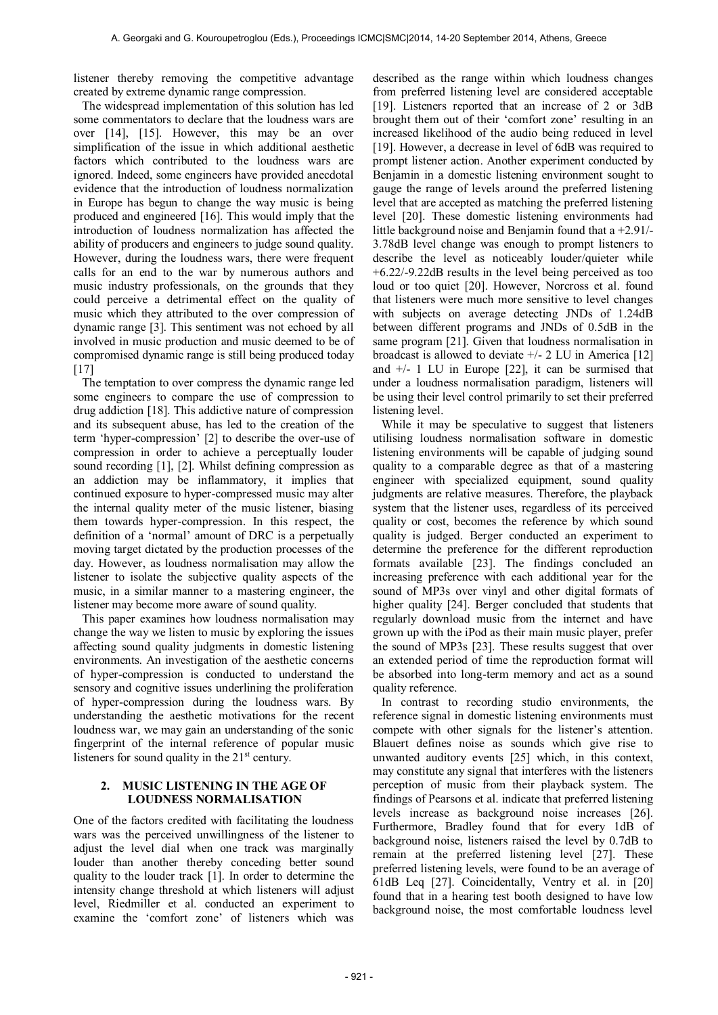listener thereby removing the competitive advantage created by extreme dynamic range compression.

The widespread implementation of this solution has led some commentators to declare that the loudness wars are over [14], [15]. However, this may be an over simplification of the issue in which additional aesthetic factors which contributed to the loudness wars are ignored. Indeed, some engineers have provided anecdotal evidence that the introduction of loudness normalization in Europe has begun to change the way music is being produced and engineered [16]. This would imply that the introduction of loudness normalization has affected the ability of producers and engineers to judge sound quality. However, during the loudness wars, there were frequent calls for an end to the war by numerous authors and music industry professionals, on the grounds that they could perceive a detrimental effect on the quality of music which they attributed to the over compression of dynamic range [3]. This sentiment was not echoed by all involved in music production and music deemed to be of compromised dynamic range is still being produced today [17]

The temptation to over compress the dynamic range led some engineers to compare the use of compression to drug addiction [18]. This addictive nature of compression and its subsequent abuse, has led to the creation of the term 'hyper-compression' [2] to describe the over-use of compression in order to achieve a perceptually louder sound recording [1], [2]. Whilst defining compression as an addiction may be inflammatory, it implies that continued exposure to hyper-compressed music may alter the internal quality meter of the music listener, biasing them towards hyper-compression. In this respect, the definition of a 'normal' amount of DRC is a perpetually moving target dictated by the production processes of the day. However, as loudness normalisation may allow the listener to isolate the subjective quality aspects of the music, in a similar manner to a mastering engineer, the listener may become more aware of sound quality.

This paper examines how loudness normalisation may change the way we listen to music by exploring the issues affecting sound quality judgments in domestic listening environments. An investigation of the aesthetic concerns of hyper-compression is conducted to understand the sensory and cognitive issues underlining the proliferation of hyper-compression during the loudness wars. By understanding the aesthetic motivations for the recent loudness war, we may gain an understanding of the sonic fingerprint of the internal reference of popular music listeners for sound quality in the  $21<sup>st</sup>$  century.

#### **2. MUSIC LISTENING IN THE AGE OF LOUDNESS NORMALISATION**

One of the factors credited with facilitating the loudness wars was the perceived unwillingness of the listener to adjust the level dial when one track was marginally louder than another thereby conceding better sound quality to the louder track [1]. In order to determine the intensity change threshold at which listeners will adjust level, Riedmiller et al. conducted an experiment to examine the 'comfort zone' of listeners which was

described as the range within which loudness changes from preferred listening level are considered acceptable [19]. Listeners reported that an increase of 2 or 3dB brought them out of their 'comfort zone' resulting in an increased likelihood of the audio being reduced in level [19]. However, a decrease in level of 6dB was required to prompt listener action. Another experiment conducted by Benjamin in a domestic listening environment sought to gauge the range of levels around the preferred listening level that are accepted as matching the preferred listening level [20]. These domestic listening environments had little background noise and Benjamin found that a +2.91/- 3.78dB level change was enough to prompt listeners to describe the level as noticeably louder/quieter while +6.22/-9.22dB results in the level being perceived as too loud or too quiet [20]. However, Norcross et al. found that listeners were much more sensitive to level changes with subjects on average detecting JNDs of 1.24dB between different programs and JNDs of 0.5dB in the same program [21]. Given that loudness normalisation in broadcast is allowed to deviate  $+/- 2$  LU in America [12] and  $+/- 1$  LU in Europe [22], it can be surmised that under a loudness normalisation paradigm, listeners will be using their level control primarily to set their preferred listening level.

While it may be speculative to suggest that listeners utilising loudness normalisation software in domestic listening environments will be capable of judging sound quality to a comparable degree as that of a mastering engineer with specialized equipment, sound quality judgments are relative measures. Therefore, the playback system that the listener uses, regardless of its perceived quality or cost, becomes the reference by which sound quality is judged. Berger conducted an experiment to determine the preference for the different reproduction formats available [23]. The findings concluded an increasing preference with each additional year for the sound of MP3s over vinyl and other digital formats of higher quality [24]. Berger concluded that students that regularly download music from the internet and have grown up with the iPod as their main music player, prefer the sound of MP3s [23]. These results suggest that over an extended period of time the reproduction format will be absorbed into long-term memory and act as a sound quality reference.

In contrast to recording studio environments, the reference signal in domestic listening environments must compete with other signals for the listener's attention. Blauert defines noise as sounds which give rise to unwanted auditory events [25] which, in this context, may constitute any signal that interferes with the listeners perception of music from their playback system. The findings of Pearsons et al. indicate that preferred listening levels increase as background noise increases [26]. Furthermore, Bradley found that for every 1dB of background noise, listeners raised the level by 0.7dB to remain at the preferred listening level [27]. These preferred listening levels, were found to be an average of 61dB Leq [27]. Coincidentally, Ventry et al. in [20] found that in a hearing test booth designed to have low background noise, the most comfortable loudness level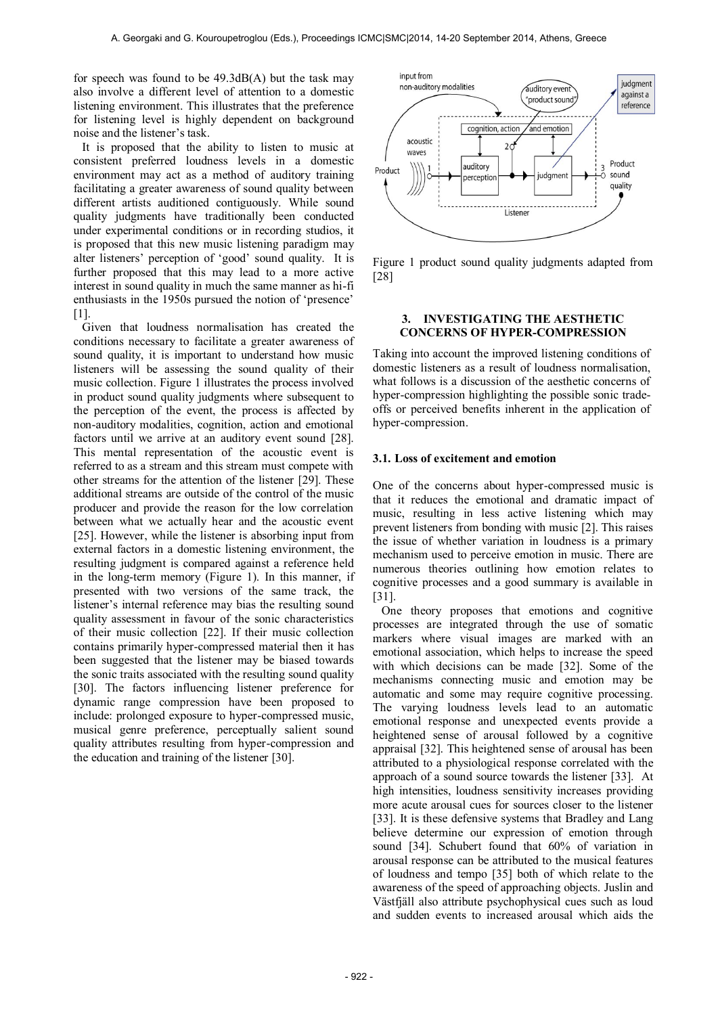for speech was found to be 49.3dB(A) but the task may also involve a different level of attention to a domestic listening environment. This illustrates that the preference for listening level is highly dependent on background noise and the listener's task.

It is proposed that the ability to listen to music at consistent preferred loudness levels in a domestic environment may act as a method of auditory training facilitating a greater awareness of sound quality between different artists auditioned contiguously. While sound quality judgments have traditionally been conducted under experimental conditions or in recording studios, it is proposed that this new music listening paradigm may alter listeners' perception of 'good' sound quality. It is further proposed that this may lead to a more active interest in sound quality in much the same manner as hi-fi enthusiasts in the 1950s pursued the notion of 'presence' [1].

Given that loudness normalisation has created the conditions necessary to facilitate a greater awareness of sound quality, it is important to understand how music listeners will be assessing the sound quality of their music collection. Figure 1 illustrates the process involved in product sound quality judgments where subsequent to the perception of the event, the process is affected by non-auditory modalities, cognition, action and emotional factors until we arrive at an auditory event sound [28]. This mental representation of the acoustic event is referred to as a stream and this stream must compete with other streams for the attention of the listener [29]. These additional streams are outside of the control of the music producer and provide the reason for the low correlation between what we actually hear and the acoustic event [25]. However, while the listener is absorbing input from external factors in a domestic listening environment, the resulting judgment is compared against a reference held in the long-term memory (Figure 1). In this manner, if presented with two versions of the same track, the listener's internal reference may bias the resulting sound quality assessment in favour of the sonic characteristics of their music collection [22]. If their music collection contains primarily hyper-compressed material then it has been suggested that the listener may be biased towards the sonic traits associated with the resulting sound quality [30]. The factors influencing listener preference for dynamic range compression have been proposed to include: prolonged exposure to hyper-compressed music, musical genre preference, perceptually salient sound quality attributes resulting from hyper-compression and the education and training of the listener [30].



Figure 1 product sound quality judgments adapted from [28]

#### **3. INVESTIGATING THE AESTHETIC CONCERNS OF HYPER-COMPRESSION**

Taking into account the improved listening conditions of domestic listeners as a result of loudness normalisation, what follows is a discussion of the aesthetic concerns of hyper-compression highlighting the possible sonic tradeoffs or perceived benefits inherent in the application of hyper-compression.

#### **3.1. Loss of excitement and emotion**

One of the concerns about hyper-compressed music is that it reduces the emotional and dramatic impact of music, resulting in less active listening which may prevent listeners from bonding with music [2]. This raises the issue of whether variation in loudness is a primary mechanism used to perceive emotion in music. There are numerous theories outlining how emotion relates to cognitive processes and a good summary is available in [31].

One theory proposes that emotions and cognitive processes are integrated through the use of somatic markers where visual images are marked with an emotional association, which helps to increase the speed with which decisions can be made [32]. Some of the mechanisms connecting music and emotion may be automatic and some may require cognitive processing. The varying loudness levels lead to an automatic emotional response and unexpected events provide a heightened sense of arousal followed by a cognitive appraisal [32]. This heightened sense of arousal has been attributed to a physiological response correlated with the approach of a sound source towards the listener [33]. At high intensities, loudness sensitivity increases providing more acute arousal cues for sources closer to the listener [33]. It is these defensive systems that Bradley and Lang believe determine our expression of emotion through sound [34]. Schubert found that 60% of variation in arousal response can be attributed to the musical features of loudness and tempo [35] both of which relate to the awareness of the speed of approaching objects. Juslin and Västfjäll also attribute psychophysical cues such as loud and sudden events to increased arousal which aids the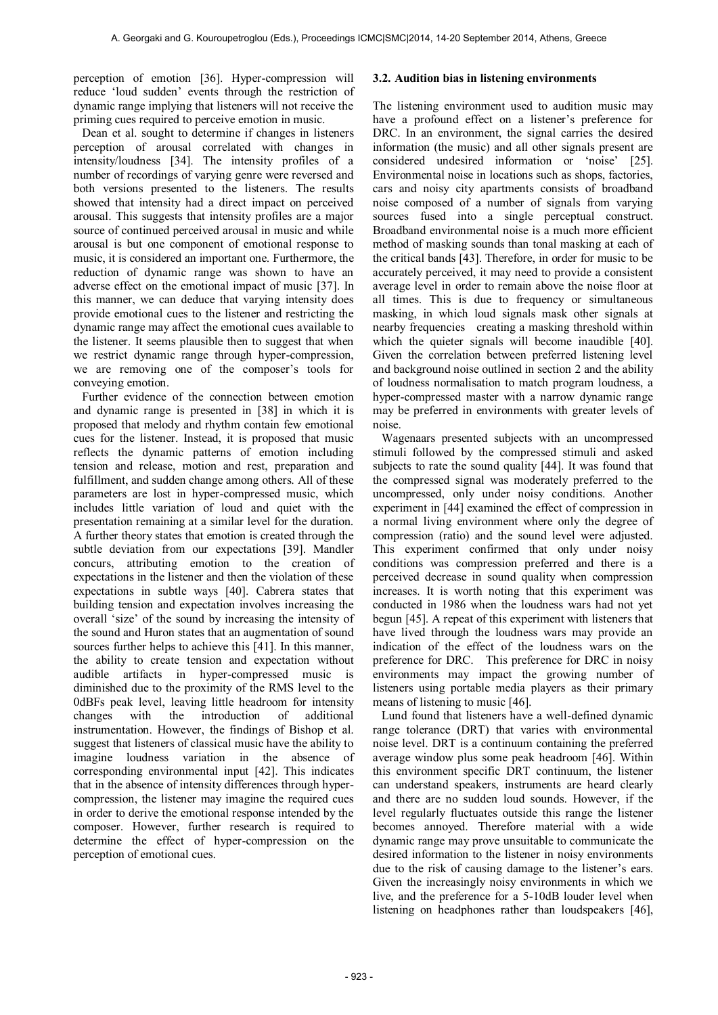perception of emotion [36]. Hyper-compression will reduce 'loud sudden' events through the restriction of dynamic range implying that listeners will not receive the priming cues required to perceive emotion in music.

Dean et al. sought to determine if changes in listeners perception of arousal correlated with changes in intensity/loudness [34]. The intensity profiles of a number of recordings of varying genre were reversed and both versions presented to the listeners. The results showed that intensity had a direct impact on perceived arousal. This suggests that intensity profiles are a major source of continued perceived arousal in music and while arousal is but one component of emotional response to music, it is considered an important one. Furthermore, the reduction of dynamic range was shown to have an adverse effect on the emotional impact of music [37]. In this manner, we can deduce that varying intensity does provide emotional cues to the listener and restricting the dynamic range may affect the emotional cues available to the listener. It seems plausible then to suggest that when we restrict dynamic range through hyper-compression, we are removing one of the composer's tools for conveying emotion.

Further evidence of the connection between emotion and dynamic range is presented in [38] in which it is proposed that melody and rhythm contain few emotional cues for the listener. Instead, it is proposed that music reflects the dynamic patterns of emotion including tension and release, motion and rest, preparation and fulfillment, and sudden change among others. All of these parameters are lost in hyper-compressed music, which includes little variation of loud and quiet with the presentation remaining at a similar level for the duration. A further theory states that emotion is created through the subtle deviation from our expectations [39]. Mandler concurs, attributing emotion to the creation of expectations in the listener and then the violation of these expectations in subtle ways [40]. Cabrera states that building tension and expectation involves increasing the overall 'size' of the sound by increasing the intensity of the sound and Huron states that an augmentation of sound sources further helps to achieve this [41]. In this manner, the ability to create tension and expectation without audible artifacts in hyper-compressed music is diminished due to the proximity of the RMS level to the 0dBFs peak level, leaving little headroom for intensity changes with the introduction of additional instrumentation. However, the findings of Bishop et al. suggest that listeners of classical music have the ability to imagine loudness variation in the absence of corresponding environmental input [42]. This indicates that in the absence of intensity differences through hypercompression, the listener may imagine the required cues in order to derive the emotional response intended by the composer. However, further research is required to determine the effect of hyper-compression on the perception of emotional cues.

#### **3.2. Audition bias in listening environments**

The listening environment used to audition music may have a profound effect on a listener's preference for DRC. In an environment, the signal carries the desired information (the music) and all other signals present are considered undesired information or 'noise' [25]. Environmental noise in locations such as shops, factories, cars and noisy city apartments consists of broadband noise composed of a number of signals from varying sources fused into a single perceptual construct. Broadband environmental noise is a much more efficient method of masking sounds than tonal masking at each of the critical bands [43]. Therefore, in order for music to be accurately perceived, it may need to provide a consistent average level in order to remain above the noise floor at all times. This is due to frequency or simultaneous masking, in which loud signals mask other signals at nearby frequencies creating a masking threshold within which the quieter signals will become inaudible [40]. Given the correlation between preferred listening level and background noise outlined in section 2 and the ability of loudness normalisation to match program loudness, a hyper-compressed master with a narrow dynamic range may be preferred in environments with greater levels of noise.

Wagenaars presented subjects with an uncompressed stimuli followed by the compressed stimuli and asked subjects to rate the sound quality [44]. It was found that the compressed signal was moderately preferred to the uncompressed, only under noisy conditions. Another experiment in [44] examined the effect of compression in a normal living environment where only the degree of compression (ratio) and the sound level were adjusted. This experiment confirmed that only under noisy conditions was compression preferred and there is a perceived decrease in sound quality when compression increases. It is worth noting that this experiment was conducted in 1986 when the loudness wars had not yet begun [45]. A repeat of this experiment with listeners that have lived through the loudness wars may provide an indication of the effect of the loudness wars on the preference for DRC. This preference for DRC in noisy environments may impact the growing number of listeners using portable media players as their primary means of listening to music [46].

Lund found that listeners have a well-defined dynamic range tolerance (DRT) that varies with environmental noise level. DRT is a continuum containing the preferred average window plus some peak headroom [46]. Within this environment specific DRT continuum, the listener can understand speakers, instruments are heard clearly and there are no sudden loud sounds. However, if the level regularly fluctuates outside this range the listener becomes annoyed. Therefore material with a wide dynamic range may prove unsuitable to communicate the desired information to the listener in noisy environments due to the risk of causing damage to the listener's ears. Given the increasingly noisy environments in which we live, and the preference for a 5-10dB louder level when listening on headphones rather than loudspeakers [46],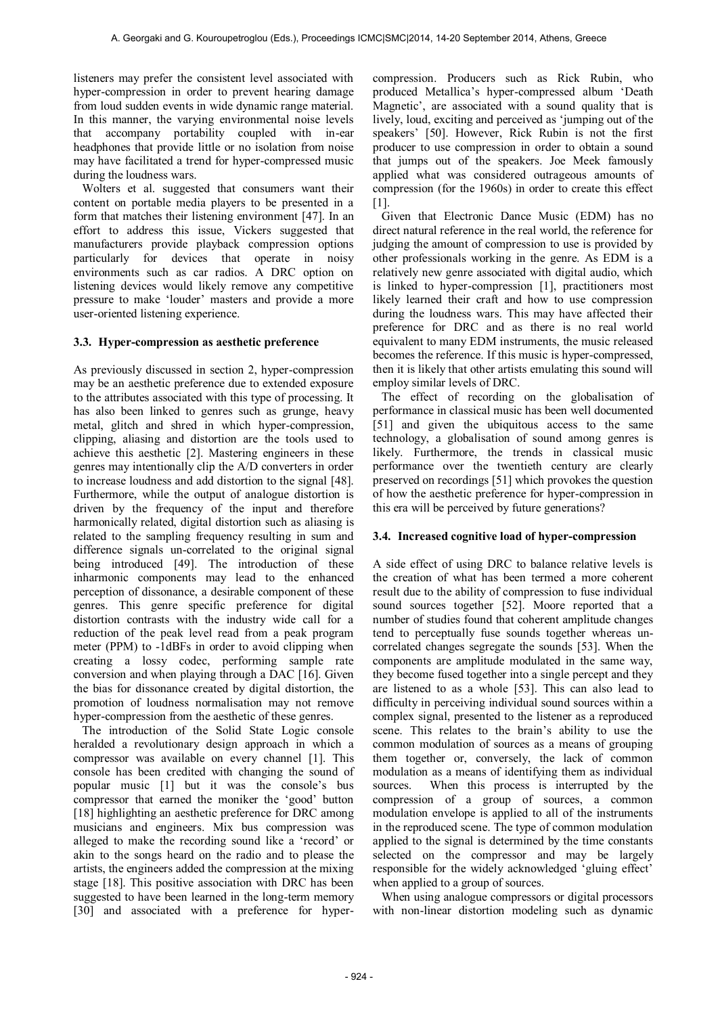listeners may prefer the consistent level associated with hyper-compression in order to prevent hearing damage from loud sudden events in wide dynamic range material. In this manner, the varying environmental noise levels that accompany portability coupled with in-ear headphones that provide little or no isolation from noise may have facilitated a trend for hyper-compressed music during the loudness wars.

Wolters et al. suggested that consumers want their content on portable media players to be presented in a form that matches their listening environment [47]. In an effort to address this issue, Vickers suggested that manufacturers provide playback compression options particularly for devices that operate in noisy environments such as car radios. A DRC option on listening devices would likely remove any competitive pressure to make 'louder' masters and provide a more user-oriented listening experience.

#### **3.3. Hyper-compression as aesthetic preference**

As previously discussed in section 2, hyper-compression may be an aesthetic preference due to extended exposure to the attributes associated with this type of processing. It has also been linked to genres such as grunge, heavy metal, glitch and shred in which hyper-compression, clipping, aliasing and distortion are the tools used to achieve this aesthetic [2]. Mastering engineers in these genres may intentionally clip the A/D converters in order to increase loudness and add distortion to the signal [48]. Furthermore, while the output of analogue distortion is driven by the frequency of the input and therefore harmonically related, digital distortion such as aliasing is related to the sampling frequency resulting in sum and difference signals un-correlated to the original signal being introduced [49]. The introduction of these inharmonic components may lead to the enhanced perception of dissonance, a desirable component of these genres. This genre specific preference for digital distortion contrasts with the industry wide call for a reduction of the peak level read from a peak program meter (PPM) to -1dBFs in order to avoid clipping when creating a lossy codec, performing sample rate conversion and when playing through a DAC [16]. Given the bias for dissonance created by digital distortion, the promotion of loudness normalisation may not remove hyper-compression from the aesthetic of these genres.

The introduction of the Solid State Logic console heralded a revolutionary design approach in which a compressor was available on every channel [1]. This console has been credited with changing the sound of popular music [1] but it was the console's bus compressor that earned the moniker the 'good' button [18] highlighting an aesthetic preference for DRC among musicians and engineers. Mix bus compression was alleged to make the recording sound like a 'record' or akin to the songs heard on the radio and to please the artists, the engineers added the compression at the mixing stage [18]. This positive association with DRC has been suggested to have been learned in the long-term memory [30] and associated with a preference for hypercompression. Producers such as Rick Rubin, who produced Metallica's hyper-compressed album 'Death Magnetic', are associated with a sound quality that is lively, loud, exciting and perceived as 'jumping out of the speakers' [50]. However, Rick Rubin is not the first producer to use compression in order to obtain a sound that jumps out of the speakers. Joe Meek famously applied what was considered outrageous amounts of compression (for the 1960s) in order to create this effect [1].

Given that Electronic Dance Music (EDM) has no direct natural reference in the real world, the reference for judging the amount of compression to use is provided by other professionals working in the genre. As EDM is a relatively new genre associated with digital audio, which is linked to hyper-compression [1], practitioners most likely learned their craft and how to use compression during the loudness wars. This may have affected their preference for DRC and as there is no real world equivalent to many EDM instruments, the music released becomes the reference. If this music is hyper-compressed, then it is likely that other artists emulating this sound will employ similar levels of DRC.

The effect of recording on the globalisation of performance in classical music has been well documented [51] and given the ubiquitous access to the same technology, a globalisation of sound among genres is likely. Furthermore, the trends in classical music performance over the twentieth century are clearly preserved on recordings [51] which provokes the question of how the aesthetic preference for hyper-compression in this era will be perceived by future generations?

#### **3.4. Increased cognitive load of hyper-compression**

A side effect of using DRC to balance relative levels is the creation of what has been termed a more coherent result due to the ability of compression to fuse individual sound sources together [52]. Moore reported that a number of studies found that coherent amplitude changes tend to perceptually fuse sounds together whereas uncorrelated changes segregate the sounds [53]. When the components are amplitude modulated in the same way, they become fused together into a single percept and they are listened to as a whole [53]. This can also lead to difficulty in perceiving individual sound sources within a complex signal, presented to the listener as a reproduced scene. This relates to the brain's ability to use the common modulation of sources as a means of grouping them together or, conversely, the lack of common modulation as a means of identifying them as individual sources. When this process is interrupted by the compression of a group of sources, a common modulation envelope is applied to all of the instruments in the reproduced scene. The type of common modulation applied to the signal is determined by the time constants selected on the compressor and may be largely responsible for the widely acknowledged 'gluing effect' when applied to a group of sources.

When using analogue compressors or digital processors with non-linear distortion modeling such as dynamic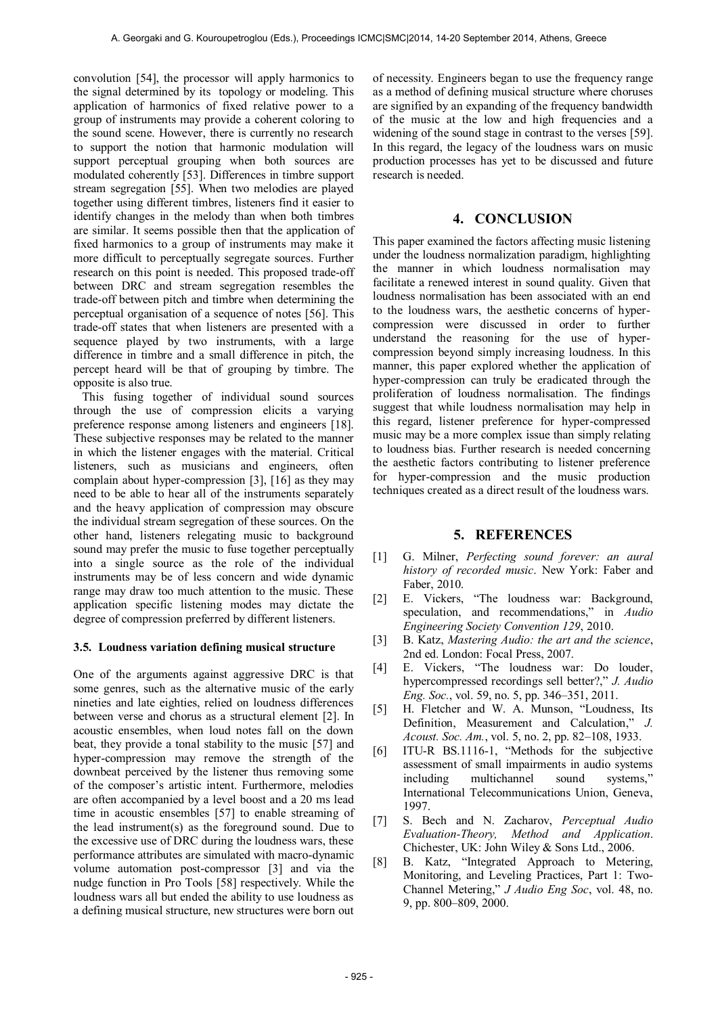convolution [54], the processor will apply harmonics to the signal determined by its topology or modeling. This application of harmonics of fixed relative power to a group of instruments may provide a coherent coloring to the sound scene. However, there is currently no research to support the notion that harmonic modulation will support perceptual grouping when both sources are modulated coherently [53]. Differences in timbre support stream segregation [55]. When two melodies are played together using different timbres, listeners find it easier to identify changes in the melody than when both timbres are similar. It seems possible then that the application of fixed harmonics to a group of instruments may make it more difficult to perceptually segregate sources. Further research on this point is needed. This proposed trade-off between DRC and stream segregation resembles the trade-off between pitch and timbre when determining the perceptual organisation of a sequence of notes [56]. This trade-off states that when listeners are presented with a sequence played by two instruments, with a large difference in timbre and a small difference in pitch, the percept heard will be that of grouping by timbre. The opposite is also true.

This fusing together of individual sound sources through the use of compression elicits a varying preference response among listeners and engineers [18]. These subjective responses may be related to the manner in which the listener engages with the material. Critical listeners, such as musicians and engineers, often complain about hyper-compression [3], [16] as they may need to be able to hear all of the instruments separately and the heavy application of compression may obscure the individual stream segregation of these sources. On the other hand, listeners relegating music to background sound may prefer the music to fuse together perceptually into a single source as the role of the individual instruments may be of less concern and wide dynamic range may draw too much attention to the music. These application specific listening modes may dictate the degree of compression preferred by different listeners.

#### **3.5. Loudness variation defining musical structure**

One of the arguments against aggressive DRC is that some genres, such as the alternative music of the early nineties and late eighties, relied on loudness differences between verse and chorus as a structural element [2]. In acoustic ensembles, when loud notes fall on the down beat, they provide a tonal stability to the music [57] and hyper-compression may remove the strength of the downbeat perceived by the listener thus removing some of the composer's artistic intent. Furthermore, melodies are often accompanied by a level boost and a 20 ms lead time in acoustic ensembles [57] to enable streaming of the lead instrument(s) as the foreground sound. Due to the excessive use of DRC during the loudness wars, these performance attributes are simulated with macro-dynamic volume automation post-compressor [3] and via the nudge function in Pro Tools [58] respectively. While the loudness wars all but ended the ability to use loudness as a defining musical structure, new structures were born out

of necessity. Engineers began to use the frequency range as a method of defining musical structure where choruses are signified by an expanding of the frequency bandwidth of the music at the low and high frequencies and a widening of the sound stage in contrast to the verses [59]. In this regard, the legacy of the loudness wars on music production processes has yet to be discussed and future research is needed.

#### **4. CONCLUSION**

This paper examined the factors affecting music listening under the loudness normalization paradigm, highlighting the manner in which loudness normalisation may facilitate a renewed interest in sound quality. Given that loudness normalisation has been associated with an end to the loudness wars, the aesthetic concerns of hypercompression were discussed in order to further understand the reasoning for the use of hypercompression beyond simply increasing loudness. In this manner, this paper explored whether the application of hyper-compression can truly be eradicated through the proliferation of loudness normalisation. The findings suggest that while loudness normalisation may help in this regard, listener preference for hyper-compressed music may be a more complex issue than simply relating to loudness bias. Further research is needed concerning the aesthetic factors contributing to listener preference for hyper-compression and the music production techniques created as a direct result of the loudness wars.

#### **5. REFERENCES**

- [1] G. Milner, *Perfecting sound forever: an aural history of recorded music*. New York: Faber and Faber, 2010.
- [2] E. Vickers, "The loudness war: Background, speculation, and recommendations," in *Audio Engineering Society Convention 129*, 2010.
- [3] B. Katz, *Mastering Audio: the art and the science*, 2nd ed. London: Focal Press, 2007.
- [4] E. Vickers, "The loudness war: Do louder, hypercompressed recordings sell better?," *J. Audio Eng. Soc.*, vol. 59, no. 5, pp. 346–351, 2011.
- [5] H. Fletcher and W. A. Munson, "Loudness, Its Definition, Measurement and Calculation," *J. Acoust. Soc. Am.*, vol. 5, no. 2, pp. 82–108, 1933.
- [6] ITU-R BS.1116-1, "Methods for the subjective assessment of small impairments in audio systems including multichannel sound systems," International Telecommunications Union, Geneva, 1997.
- [7] S. Bech and N. Zacharov, *Perceptual Audio Evaluation-Theory, Method and Application*. Chichester, UK: John Wiley & Sons Ltd., 2006.
- [8] B. Katz, "Integrated Approach to Metering, Monitoring, and Leveling Practices, Part 1: Two-Channel Metering," *J Audio Eng Soc*, vol. 48, no. 9, pp. 800–809, 2000.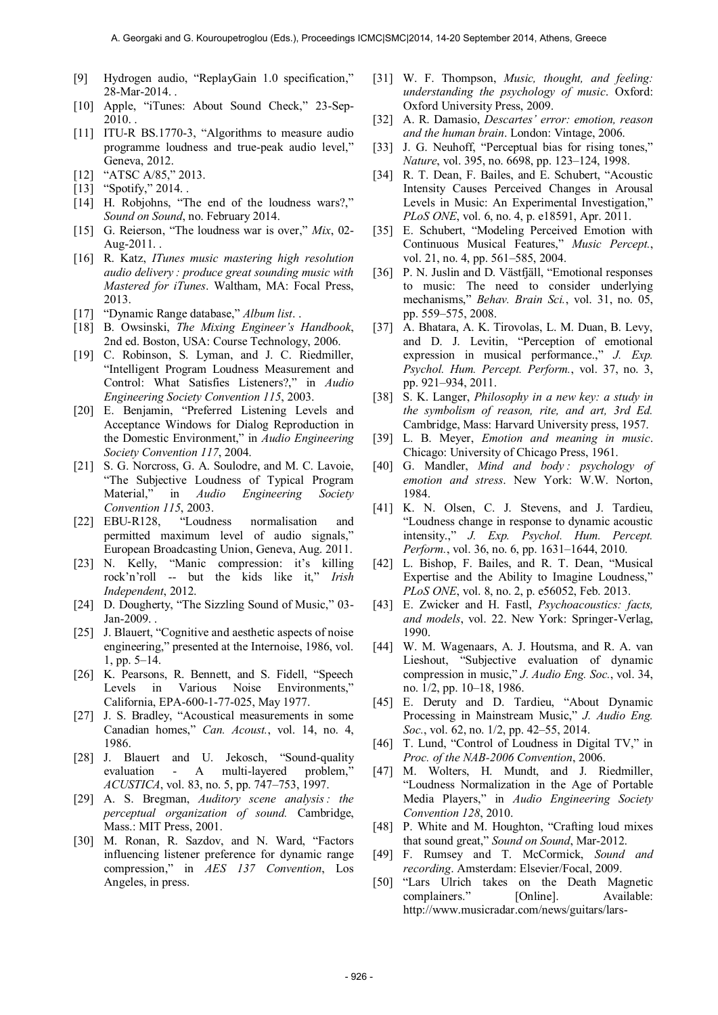- [9] Hydrogen audio, "ReplayGain 1.0 specification," 28-Mar-2014. .
- [10] Apple, "iTunes: About Sound Check," 23-Sep-2010. .
- [11] ITU-R BS.1770-3, "Algorithms to measure audio programme loudness and true-peak audio level," Geneva, 2012.
- [12] "ATSC A/85," 2013.
- [13] "Spotify," 2014. .
- [14] H. Robjohns, "The end of the loudness wars?," *Sound on Sound*, no. February 2014.
- [15] G. Reierson, "The loudness war is over," *Mix*, 02- Aug-2011. .
- [16] R. Katz, *ITunes music mastering high resolution audio delivery : produce great sounding music with Mastered for iTunes*. Waltham, MA: Focal Press, 2013.
- [17] "Dynamic Range database," *Album list*. .
- [18] B. Owsinski, *The Mixing Engineer's Handbook*, 2nd ed. Boston, USA: Course Technology, 2006.
- [19] C. Robinson, S. Lyman, and J. C. Riedmiller, "Intelligent Program Loudness Measurement and Control: What Satisfies Listeners?," in *Audio Engineering Society Convention 115*, 2003.
- [20] E. Benjamin, "Preferred Listening Levels and Acceptance Windows for Dialog Reproduction in the Domestic Environment," in *Audio Engineering Society Convention 117*, 2004.
- [21] S. G. Norcross, G. A. Soulodre, and M. C. Lavoie, "The Subjective Loudness of Typical Program Material," in *Audio Engineering Society Convention 115*, 2003.
- [22] EBU-R128, "Loudness normalisation and permitted maximum level of audio signals," European Broadcasting Union, Geneva, Aug. 2011.
- [23] N. Kelly, "Manic compression: it's killing rock'n'roll -- but the kids like it," *Irish Independent*, 2012.
- [24] D. Dougherty, "The Sizzling Sound of Music," 03-Jan-2009.
- [25] J. Blauert, "Cognitive and aesthetic aspects of noise engineering," presented at the Internoise, 1986, vol. 1, pp. 5–14.
- [26] K. Pearsons, R. Bennett, and S. Fidell, "Speech Levels in Various Noise Environments," California, EPA-600-1-77-025, May 1977.
- [27] J. S. Bradley, "Acoustical measurements in some Canadian homes," *Can. Acoust.*, vol. 14, no. 4, 1986.
- [28] J. Blauert and U. Jekosch, "Sound-quality" evaluation - A multi-layered problem, *ACUSTICA*, vol. 83, no. 5, pp. 747–753, 1997.
- [29] A. S. Bregman, *Auditory scene analysis: the perceptual organization of sound.* Cambridge, Mass.: MIT Press, 2001.
- [30] M. Ronan, R. Sazdov, and N. Ward, "Factors influencing listener preference for dynamic range compression," in *AES 137 Convention*, Los Angeles, in press.
- [31] W. F. Thompson, *Music, thought, and feeling: understanding the psychology of music*. Oxford: Oxford University Press, 2009.
- [32] A. R. Damasio, *Descartes' error: emotion, reason and the human brain*. London: Vintage, 2006.
- [33] J. G. Neuhoff, "Perceptual bias for rising tones," *Nature*, vol. 395, no. 6698, pp. 123–124, 1998.
- [34] R. T. Dean, F. Bailes, and E. Schubert, "Acoustic Intensity Causes Perceived Changes in Arousal Levels in Music: An Experimental Investigation," *PLoS ONE*, vol. 6, no. 4, p. e18591, Apr. 2011.
- [35] E. Schubert, "Modeling Perceived Emotion with Continuous Musical Features," *Music Percept.*, vol. 21, no. 4, pp. 561–585, 2004.
- [36] P. N. Juslin and D. Västfjäll, "Emotional responses to music: The need to consider underlying mechanisms," *Behav. Brain Sci.*, vol. 31, no. 05, pp. 559–575, 2008.
- [37] A. Bhatara, A. K. Tirovolas, L. M. Duan, B. Levy, and D. J. Levitin, "Perception of emotional expression in musical performance.," *J. Exp. Psychol. Hum. Percept. Perform.*, vol. 37, no. 3, pp. 921–934, 2011.
- [38] S. K. Langer, *Philosophy in a new key: a study in the symbolism of reason, rite, and art, 3rd Ed.* Cambridge, Mass: Harvard University press, 1957.
- [39] L. B. Meyer, *Emotion and meaning in music*. Chicago: University of Chicago Press, 1961.
- [40] G. Mandler, *Mind and body : psychology of emotion and stress*. New York: W.W. Norton, 1984.
- [41] K. N. Olsen, C. J. Stevens, and J. Tardieu, "Loudness change in response to dynamic acoustic intensity.," *J. Exp. Psychol. Hum. Percept. Perform.*, vol. 36, no. 6, pp. 1631–1644, 2010.
- [42] L. Bishop, F. Bailes, and R. T. Dean, "Musical Expertise and the Ability to Imagine Loudness," *PLoS ONE*, vol. 8, no. 2, p. e56052, Feb. 2013.
- [43] E. Zwicker and H. Fastl, *Psychoacoustics: facts, and models*, vol. 22. New York: Springer-Verlag, 1990.
- [44] W. M. Wagenaars, A. J. Houtsma, and R. A. van Lieshout, "Subjective evaluation of dynamic compression in music," *J. Audio Eng. Soc.*, vol. 34, no. 1/2, pp. 10–18, 1986.
- [45] E. Deruty and D. Tardieu, "About Dynamic Processing in Mainstream Music," *J. Audio Eng. Soc.*, vol. 62, no. 1/2, pp. 42–55, 2014.
- [46] T. Lund, "Control of Loudness in Digital TV," in *Proc. of the NAB-2006 Convention*, 2006.
- [47] M. Wolters, H. Mundt, and J. Riedmiller, "Loudness Normalization in the Age of Portable Media Players," in *Audio Engineering Society Convention 128*, 2010.
- [48] P. White and M. Houghton, "Crafting loud mixes that sound great," *Sound on Sound*, Mar-2012.
- [49] F. Rumsey and T. McCormick, *Sound and recording*. Amsterdam: Elsevier/Focal, 2009.
- [50] "Lars Ulrich takes on the Death Magnetic complainers." [Online]. Available: http://www.musicradar.com/news/guitars/lars-